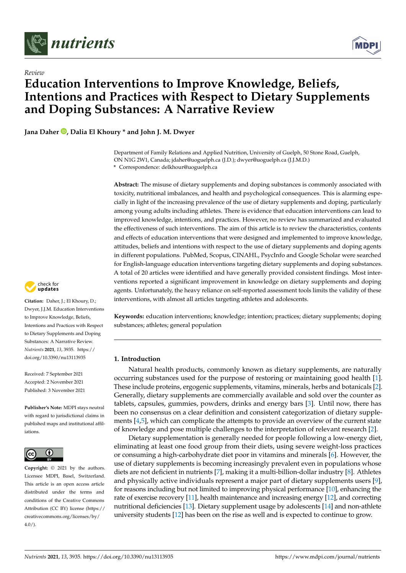

*Review*



# **Education Interventions to Improve Knowledge, Beliefs, Intentions and Practices with Respect to Dietary Supplements and Doping Substances: A Narrative Review**

**Jana Daher [,](https://orcid.org/0000-0002-3312-8524) Dalia El Khoury \* and John J. M. Dwyer**

Department of Family Relations and Applied Nutrition, University of Guelph, 50 Stone Road, Guelph, ON N1G 2W1, Canada; jdaher@uoguelph.ca (J.D.); dwyer@uoguelph.ca (J.J.M.D.) **\*** Correspondence: delkhour@uoguelph.ca

**Abstract:** The misuse of dietary supplements and doping substances is commonly associated with toxicity, nutritional imbalances, and health and psychological consequences. This is alarming especially in light of the increasing prevalence of the use of dietary supplements and doping, particularly among young adults including athletes. There is evidence that education interventions can lead to improved knowledge, intentions, and practices. However, no review has summarized and evaluated the effectiveness of such interventions. The aim of this article is to review the characteristics, contents and effects of education interventions that were designed and implemented to improve knowledge, attitudes, beliefs and intentions with respect to the use of dietary supplements and doping agents in different populations. PubMed, Scopus, CINAHL, PsycInfo and Google Scholar were searched for English-language education interventions targeting dietary supplements and doping substances. A total of 20 articles were identified and have generally provided consistent findings. Most interventions reported a significant improvement in knowledge on dietary supplements and doping agents. Unfortunately, the heavy reliance on self-reported assessment tools limits the validity of these interventions, with almost all articles targeting athletes and adolescents.

**Keywords:** education interventions; knowledge; intention; practices; dietary supplements; doping substances; athletes; general population

#### **1. Introduction**

Natural health products, commonly known as dietary supplements, are naturally occurring substances used for the purpose of restoring or maintaining good health [\[1\]](#page-12-0). These include proteins, ergogenic supplements, vitamins, minerals, herbs and botanicals [\[2\]](#page-12-1). Generally, dietary supplements are commercially available and sold over the counter as tablets, capsules, gummies, powders, drinks and energy bars [\[3\]](#page-12-2). Until now, there has been no consensus on a clear definition and consistent categorization of dietary supplements [\[4,](#page-12-3)[5\]](#page-12-4), which can complicate the attempts to provide an overview of the current state of knowledge and pose multiple challenges to the interpretation of relevant research [\[2\]](#page-12-1).

Dietary supplementation is generally needed for people following a low-energy diet, eliminating at least one food group from their diets, using severe weight-loss practices or consuming a high-carbohydrate diet poor in vitamins and minerals [\[6\]](#page-12-5). However, the use of dietary supplements is becoming increasingly prevalent even in populations whose diets are not deficient in nutrients [\[7\]](#page-12-6), making it a multi-billion-dollar industry [\[8\]](#page-12-7). Athletes and physically active individuals represent a major part of dietary supplements users [\[9\]](#page-12-8), for reasons including but not limited to improving physical performance [\[10\]](#page-12-9), enhancing the rate of exercise recovery [\[11\]](#page-12-10), health maintenance and increasing energy [\[12\]](#page-12-11), and correcting nutritional deficiencies [\[13\]](#page-13-0). Dietary supplement usage by adolescents [\[14\]](#page-13-1) and non-athlete university students [\[12\]](#page-12-11) has been on the rise as well and is expected to continue to grow.



**Citation:** Daher, J.; El Khoury, D.; Dwyer, J.J.M. Education Interventions to Improve Knowledge, Beliefs, Intentions and Practices with Respect to Dietary Supplements and Doping Substances: A Narrative Review. *Nutrients* **2021**, *13*, 3935. [https://](https://doi.org/10.3390/nu13113935) [doi.org/10.3390/nu13113935](https://doi.org/10.3390/nu13113935)

Received: 7 September 2021 Accepted: 2 November 2021 Published: 3 November 2021

**Publisher's Note:** MDPI stays neutral with regard to jurisdictional claims in published maps and institutional affiliations.



**Copyright:** © 2021 by the authors. Licensee MDPI, Basel, Switzerland. This article is an open access article distributed under the terms and conditions of the Creative Commons Attribution (CC BY) license (https:/[/](https://creativecommons.org/licenses/by/4.0/) [creativecommons.org/licenses/by/](https://creativecommons.org/licenses/by/4.0/)  $4.0/$ ).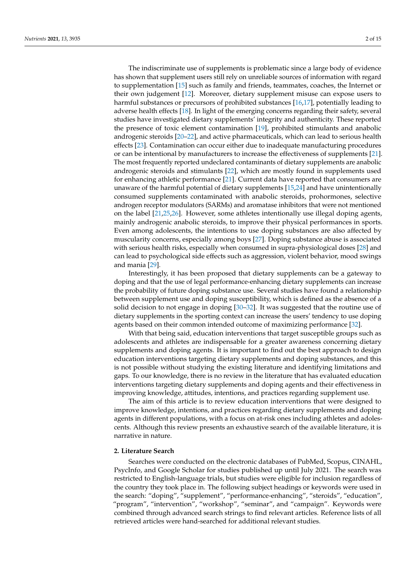The indiscriminate use of supplements is problematic since a large body of evidence has shown that supplement users still rely on unreliable sources of information with regard to supplementation [\[15\]](#page-13-2) such as family and friends, teammates, coaches, the Internet or their own judgement [\[12\]](#page-12-11). Moreover, dietary supplement misuse can expose users to harmful substances or precursors of prohibited substances [\[16](#page-13-3)[,17\]](#page-13-4), potentially leading to adverse health effects [\[18\]](#page-13-5). In light of the emerging concerns regarding their safety, several studies have investigated dietary supplements' integrity and authenticity. These reported the presence of toxic element contamination [\[19\]](#page-13-6), prohibited stimulants and anabolic androgenic steroids [\[20–](#page-13-7)[22\]](#page-13-8), and active pharmaceuticals, which can lead to serious health effects [\[23\]](#page-13-9). Contamination can occur either due to inadequate manufacturing procedures or can be intentional by manufacturers to increase the effectiveness of supplements [\[21\]](#page-13-10). The most frequently reported undeclared contaminants of dietary supplements are anabolic androgenic steroids and stimulants [\[22\]](#page-13-8), which are mostly found in supplements used for enhancing athletic performance [\[21\]](#page-13-10). Current data have reported that consumers are unaware of the harmful potential of dietary supplements [\[15](#page-13-2)[,24\]](#page-13-11) and have unintentionally consumed supplements contaminated with anabolic steroids, prohormones, selective androgen receptor modulators (SARMs) and aromatase inhibitors that were not mentioned on the label [\[21](#page-13-10)[,25](#page-13-12)[,26\]](#page-13-13). However, some athletes intentionally use illegal doping agents, mainly androgenic anabolic steroids, to improve their physical performances in sports. Even among adolescents, the intentions to use doping substances are also affected by muscularity concerns, especially among boys [\[27\]](#page-13-14). Doping substance abuse is associated with serious health risks, especially when consumed in supra-physiological doses [\[28\]](#page-13-15) and can lead to psychological side effects such as aggression, violent behavior, mood swings and mania [\[29\]](#page-13-16).

Interestingly, it has been proposed that dietary supplements can be a gateway to doping and that the use of legal performance-enhancing dietary supplements can increase the probability of future doping substance use. Several studies have found a relationship between supplement use and doping susceptibility, which is defined as the absence of a solid decision to not engage in doping [\[30](#page-13-17)[–32\]](#page-13-18). It was suggested that the routine use of dietary supplements in the sporting context can increase the users' tendency to use doping agents based on their common intended outcome of maximizing performance [\[32\]](#page-13-18).

With that being said, education interventions that target susceptible groups such as adolescents and athletes are indispensable for a greater awareness concerning dietary supplements and doping agents. It is important to find out the best approach to design education interventions targeting dietary supplements and doping substances, and this is not possible without studying the existing literature and identifying limitations and gaps. To our knowledge, there is no review in the literature that has evaluated education interventions targeting dietary supplements and doping agents and their effectiveness in improving knowledge, attitudes, intentions, and practices regarding supplement use.

The aim of this article is to review education interventions that were designed to improve knowledge, intentions, and practices regarding dietary supplements and doping agents in different populations, with a focus on at-risk ones including athletes and adolescents. Although this review presents an exhaustive search of the available literature, it is narrative in nature.

## **2. Literature Search**

Searches were conducted on the electronic databases of PubMed, Scopus, CINAHL, PsycInfo, and Google Scholar for studies published up until July 2021. The search was restricted to English-language trials, but studies were eligible for inclusion regardless of the country they took place in. The following subject headings or keywords were used in the search: "doping", "supplement", "performance-enhancing", "steroids", "education", "program", "intervention", "workshop", "seminar", and "campaign". Keywords were combined through advanced search strings to find relevant articles. Reference lists of all retrieved articles were hand-searched for additional relevant studies.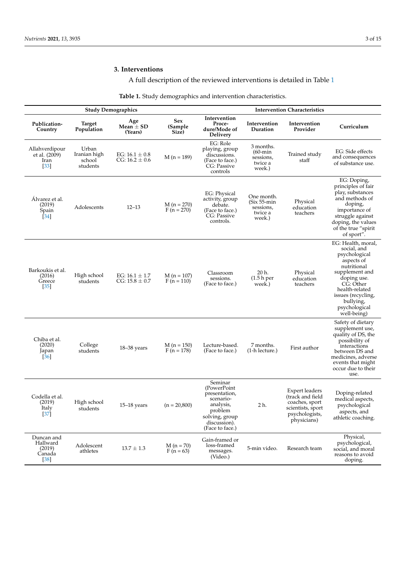# **3. Interventions**

# A full description of the reviewed interventions is detailed in Table  $1$

| Table 1. Study demographics and intervention characteristics. |
|---------------------------------------------------------------|
|---------------------------------------------------------------|

<span id="page-2-0"></span>

|                                                               |                                             | <b>Study Demographics</b>                |                              | <b>Intervention Characteristics</b>                                                                                               |                                                               |                                                                                                                   |                                                                                                                                                                                                                    |
|---------------------------------------------------------------|---------------------------------------------|------------------------------------------|------------------------------|-----------------------------------------------------------------------------------------------------------------------------------|---------------------------------------------------------------|-------------------------------------------------------------------------------------------------------------------|--------------------------------------------------------------------------------------------------------------------------------------------------------------------------------------------------------------------|
| Publication-<br>Country                                       | <b>Target</b><br>Population                 | Age<br>Mean $\pm$ SD<br>(Years)          | Sex<br>(Sample<br>Size)      | Intervention<br>Proce-<br>dure/Mode of<br>Delivery                                                                                | Intervention<br>Duration                                      | Intervention<br>Provider                                                                                          | Curriculum                                                                                                                                                                                                         |
| Allahverdipour<br>et al. (2009)<br>Iran<br>$[33]$             | Urban<br>Iranian high<br>school<br>students | EG: $16.1 \pm 0.8$<br>CG: $16.2 \pm 0.6$ | $M(n = 189)$                 | EG: Role<br>playing, group<br>discussions.<br>(Face to face.)<br>CG: Passive<br>controls                                          | 3 months.<br>$(60 - min)$<br>sessions,<br>twice a<br>week.)   | Trained study<br>staff                                                                                            | EG: Side effects<br>and consequences<br>of substance use.                                                                                                                                                          |
| Álvarez et al.<br>(2019)<br>Spain<br>$[34]$                   | Adolescents                                 | $12 - 13$                                | $M(n = 270)$<br>$F(n = 270)$ | EG: Physical<br>activity, group<br>debate.<br>(Face to face.)<br>CG: Passive<br>controls.                                         | One month.<br>$(Six 55-min$<br>sessions,<br>twice a<br>week.) | Physical<br>education<br>teachers                                                                                 | EG: Doping,<br>principles of fair<br>play, substances<br>and methods of<br>doping,<br>importance of<br>struggle against<br>doping, the values<br>of the true "spirit<br>of sport".                                 |
| Barkoukis et al.<br>(2016)<br>Greece<br>$[35]$                | High school<br>students                     | EG: $16.1 \pm 1.7$<br>$CG: 15.8 \pm 0.7$ | $M(n = 107)$<br>$F(n = 110)$ | Classroom<br>sessions.<br>(Face to face.)                                                                                         | 20 h.<br>(1.5 h <sub>per</sub> )<br>week.)                    | Physical<br>education<br>teachers                                                                                 | EG: Health, moral,<br>social, and<br>psychological<br>aspects of<br>nutritional<br>supplement and<br>doping use.<br>CG: Other<br>health-related<br>issues (recycling,<br>bullying,<br>psychological<br>well-being) |
| Chiba et al.<br>(2020)<br>Japan<br>$\left[36\right]$          | College<br>students                         | $18 - 38$ years                          | $M(n = 150)$<br>$F(n = 178)$ | Lecture-based.<br>(Face to face.)                                                                                                 | 7 months.<br>(1-h lecture.)                                   | First author                                                                                                      | Safety of dietary<br>supplement use,<br>quality of DS, the<br>possibility of<br>interactions<br>between DS and<br>medicines, adverse<br>events that might<br>occur due to their<br>use.                            |
| Codella et al.<br>(2019)<br><b>Italy</b><br>$\left[37\right]$ | High school<br>students                     | $15-18$ years                            | $(n = 20,800)$               | Seminar<br>(PowerPoint<br>presentation,<br>scenario-<br>analysis,<br>problem<br>solving, group<br>discussion).<br>(Face to face.) | 2 h.                                                          | <b>Expert leaders</b><br>(track and field<br>coaches, sport<br>scientists, sport<br>psychologists,<br>physicians) | Doping-related<br>medical aspects,<br>psychological<br>aspects, and<br>athletic coaching.                                                                                                                          |
| Duncan and<br>Hallward<br>(2019)<br>Canada<br>$[38]$          | Adolescent<br>athletes                      | $13.7 \pm 1.3$                           | $M(n = 70)$<br>$F (n = 63)$  | Gain-framed or<br>loss-framed<br>messages.<br>(Video.)                                                                            | 5-min video.                                                  | Research team                                                                                                     | Physical,<br>psychological,<br>social, and moral<br>reasons to avoid<br>doping.                                                                                                                                    |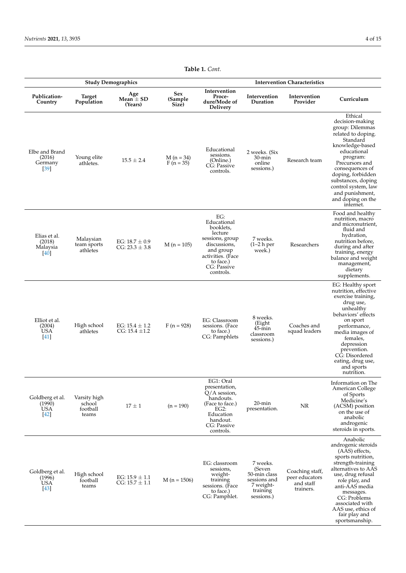|                                                   |                                             | <b>Study Demographics</b>                |                                 | <b>Intervention Characteristics</b>                                                                                                                      |                                                                                           |                                                             |                                                                                                                                                                                                                                                                                           |
|---------------------------------------------------|---------------------------------------------|------------------------------------------|---------------------------------|----------------------------------------------------------------------------------------------------------------------------------------------------------|-------------------------------------------------------------------------------------------|-------------------------------------------------------------|-------------------------------------------------------------------------------------------------------------------------------------------------------------------------------------------------------------------------------------------------------------------------------------------|
| Publication-<br>Country                           | <b>Target</b><br>Population                 | Age<br>Mean $\pm$ SD<br>(Years)          | <b>Sex</b><br>(Sample)<br>Size) | Intervention<br>Proce-<br>dure/Mode of<br>Delivery                                                                                                       | Intervention<br>Duration                                                                  | Intervention<br>Provider                                    | Curriculum                                                                                                                                                                                                                                                                                |
| Elbe and Brand<br>(2016)<br>Germany<br>$[39]$     | Young elite<br>athletes.                    | $15.5 \pm 2.4$                           | $M(n = 34)$<br>$F (n = 35)$     | Educational<br>sessions.<br>(Online.)<br>CG: Passive<br>controls.                                                                                        | 2 weeks. (Six<br>30-min<br>online<br>sessions.)                                           | Research team                                               | Ethical<br>decision-making<br>group: Dilemmas<br>related to doping.<br>Standard<br>knowledge-based<br>educational<br>program:<br>Precursors and<br>consequences of<br>doping, forbidden<br>substances, doping<br>control system, law<br>and punishment,<br>and doping on the<br>internet. |
| Elias et al.<br>(2018)<br>Malaysia<br>[40]        | Malaysian<br>team sports<br>athletes        | EG: $18.7 \pm 0.9$<br>$CG: 23.3 \pm 3.8$ | $M(n = 105)$                    | EG:<br>Educational<br>booklets.<br>lecture<br>sessions, group<br>discussions,<br>and group<br>activities. (Face<br>to face.)<br>CG: Passive<br>controls. | 7 weeks.<br>$(1-2 h)$ per<br>week.)                                                       | Researchers                                                 | Food and healthy<br>nutrition, macro<br>and micronutrient,<br>fluid and<br>hydration,<br>nutrition before,<br>during and after<br>training, energy<br>balance and weight<br>management,<br>dietary<br>supplements.                                                                        |
| Elliot et al.<br>(2004)<br><b>USA</b><br>[41]     | High school<br>athletes                     | EG: $15.4 \pm 1.2$<br>CG: $15.4 \pm 1.2$ | $F(n = 928)$                    | EG: Classroom<br>sessions. (Face<br>to face.)<br>CG: Pamphlets                                                                                           | 8 weeks.<br>(Eight<br>$45 - min$<br>classroom<br>sessions.)                               | Coaches and<br>squad leaders                                | EG: Healthy sport<br>nutrition, effective<br>exercise training,<br>drug use,<br>unhealthy<br>behaviors' effects<br>on sport<br>performance,<br>media images of<br>females,<br>depression<br>prevention.<br>CG: Disordered<br>eating, drug use,<br>and sports<br>nutrition.                |
| Goldberg et al.<br>(1990)<br><b>USA</b><br>$[42]$ | Varsity high<br>school<br>football<br>teams | $17 \pm 1$                               | $(n = 190)$                     | EG1: Oral<br>presentation,<br>O/A session,<br>handouts.<br>(Face to face.)<br>EG2:<br>Education<br>handout.<br>CG: Passive<br>controls.                  | 20-min<br>presentation.                                                                   | NR                                                          | Information on The<br>American College<br>of Sports<br>Medicine's<br>(ACSM) position<br>on the use of<br>anabolic<br>androgenic<br>steroids in sports.                                                                                                                                    |
| Goldberg et al.<br>(1996)<br><b>USA</b><br>$[43]$ | High school<br>football<br>teams            | EG: $15.9 \pm 1.1$<br>$CG: 15.7 \pm 1.1$ | $M(n = 1506)$                   | EG: classroom<br>sessions,<br>weight-<br>training<br>sessions. (Face<br>to face.)<br>CG: Pamphlet.                                                       | 7 weeks.<br>(Seven<br>50-min class<br>sessions and<br>7 weight-<br>training<br>sessions.) | Coaching staff,<br>peer educators<br>and staff<br>trainers. | Anabolic<br>androgenic steroids<br>(AAS) effects,<br>sports nutrition,<br>strength-training<br>alternatives to AAS<br>use, drug refusal<br>role play, and<br>anti-AAS media<br>messages.<br>CG: Problems<br>associated with<br>AAS use, ethics of<br>fair play and<br>sportsmanship.      |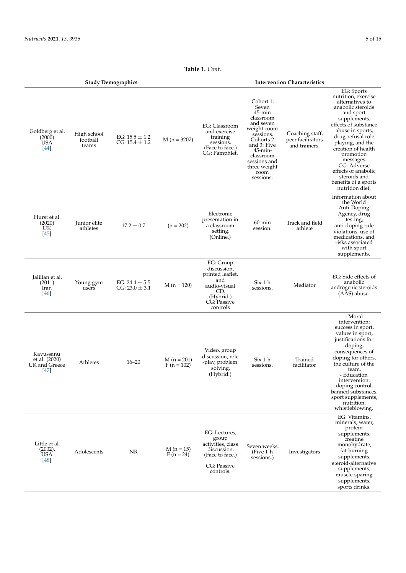|                                                     |                                  | <b>Study Demographics</b>                |                             | <b>Intervention Characteristics</b>                                                                                |                                                                                                                                                                                                |                                                       |                                                                                                                                                                                                                                                                                                                                              |
|-----------------------------------------------------|----------------------------------|------------------------------------------|-----------------------------|--------------------------------------------------------------------------------------------------------------------|------------------------------------------------------------------------------------------------------------------------------------------------------------------------------------------------|-------------------------------------------------------|----------------------------------------------------------------------------------------------------------------------------------------------------------------------------------------------------------------------------------------------------------------------------------------------------------------------------------------------|
| Goldberg et al.<br>(2000)<br>USA<br>$[44]$          | High school<br>football<br>teams | EG: $15.5 \pm 1.2$<br>CG: $15.4 \pm 1.2$ | $M(n = 3207)$               | EG: Classroom<br>and exercise<br>training<br>sessions.<br>(Face to face.)<br>CG: Pamphlet.                         | Cohort 1:<br>Seven<br>$45$ -min<br>classroom<br>and seven<br>weight-room<br>sessions.<br>Cohorts 2<br>and 3: Five<br>45-min-<br>classroom<br>sessions and<br>three weight<br>room<br>sessions. | Coaching staff,<br>peer facilitators<br>and trainers. | EG: Sports<br>nutrition, exercise<br>alternatives to<br>anabolic steroids<br>and sport<br>supplements,<br>effects of substance<br>abuse in sports,<br>drug-refusal role<br>playing, and the<br>creation of health<br>promotion<br>messages.<br>CG: Adverse<br>effects of anabolic<br>steroids and<br>benefits of a sports<br>nutrition diet. |
| Hurst et al.<br>(2020)<br>UK<br>$[45]$              | Junior elite<br>athletes         | $17.2 \pm 0.7$                           | $(n = 202)$                 | Electronic<br>presentation in<br>a classroom<br>setting.<br>(Online.)                                              | $60$ -min<br>session.                                                                                                                                                                          | Track and field<br>athlete                            | Information about<br>the World<br>Anti-Doping<br>Agency, drug<br>testing,<br>anti-doping rule<br>violations, use of<br>medications, and<br>risks associated<br>with sport<br>supplements.                                                                                                                                                    |
| Jalilian et al.<br>(2011)<br>Iran<br>$[46]$         | Young gym<br>users               | EG: $24.4 \pm 5.5$<br>$CG: 23.0 \pm 3.1$ | $M(n = 120)$                | EG: Group<br>discussion,<br>printed leaflet,<br>and<br>audio-visual<br>CD.<br>(Hybrid.)<br>CG: Passive<br>controls | Six 1-h<br>sessions.                                                                                                                                                                           | Mediator                                              | EG: Side effects of<br>anabolic<br>androgenic steroids<br>(AAS) abuse.                                                                                                                                                                                                                                                                       |
| Kavussanu<br>et al. (2020)<br>UK and Greece<br>[47] | Athletes                         | $16 - 20$                                | $M(n = 201)$<br>F (n = 102) | Video, group<br>discussion, role<br>-play, problem<br>solving.<br>(Hybrid.)                                        | Six 1-h<br>sessions.                                                                                                                                                                           | Trained<br>facilitator                                | - Moral<br>intervention:<br>success in sport,<br>values in sport,<br>justifications for<br>doping,<br>consequences of<br>doping for others,<br>the culture of the<br>team.<br>- Education<br>intervention:<br>doping control,<br>banned substances,<br>sport supplements,<br>nutrition,<br>whistleblowing.                                   |
| Little et al.<br>(2002).<br><b>USA</b><br>[48]      | Adolescents                      | NR                                       | $M(n = 15)$<br>$F(n = 24)$  | EG: Lectures,<br>group<br>activities, class<br>discussion.<br>(Face to face.)<br>CG: Passive<br>controls.          | Seven weeks.<br>(Five 1-h<br>sessions.)                                                                                                                                                        | Investigators                                         | EG: Vitamins,<br>minerals, water,<br>protein<br>supplements,<br>creatine<br>monohydrate,<br>fat-burning<br>supplements,<br>steroid-alternative<br>supplements,<br>muscle-sparing<br>supplements,<br>sports drinks.                                                                                                                           |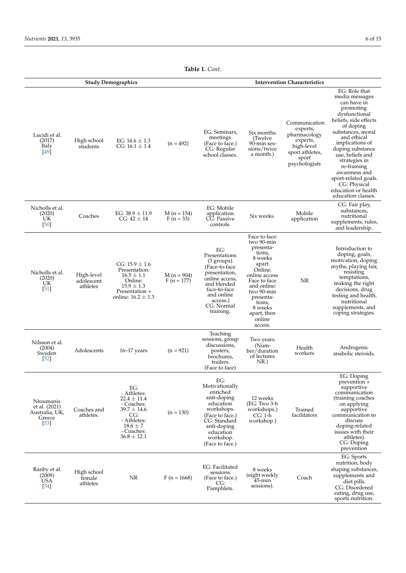|                                                                  |                                      | <b>Study Demographics</b>                                                                                                                     |                              | <b>Intervention Characteristics</b>                                                                                                                                                    |                                                                                                                                                                                                                        |                                                                                                                  |                                                                                                                                                                                                                                                                                                                                                        |
|------------------------------------------------------------------|--------------------------------------|-----------------------------------------------------------------------------------------------------------------------------------------------|------------------------------|----------------------------------------------------------------------------------------------------------------------------------------------------------------------------------------|------------------------------------------------------------------------------------------------------------------------------------------------------------------------------------------------------------------------|------------------------------------------------------------------------------------------------------------------|--------------------------------------------------------------------------------------------------------------------------------------------------------------------------------------------------------------------------------------------------------------------------------------------------------------------------------------------------------|
| Lucidi et al.<br>(2017)<br><b>Italy</b><br>[49]                  | High school<br>students              | EG: $16.6 \pm 1.3$<br>CG: $16.1 \pm 1.4$                                                                                                      | $(n = 492)$                  | EG: Seminars,<br>meetings.<br>(Face to face.)<br>CG: Regular<br>school classes.                                                                                                        | Six months.<br>(Twelve)<br>90-min ses-<br>sions/twice<br>a month.)                                                                                                                                                     | Communication<br>experts,<br>pharmacology<br>experts,<br>high-level<br>sport athletes,<br>sport<br>psychologists | EG: Role that<br>media messages<br>can have in<br>promoting<br>dysfunctional<br>beliefs, side effects<br>of doping<br>substances, moral<br>and ethical<br>implications of<br>doping substance<br>use, beliefs and<br>strategies in<br>re-framing<br>awareness and<br>sport-related goals.<br>CG: Physical<br>education or health<br>education classes. |
| Nicholls et al.<br>(2020)<br>UK<br>$[50]$                        | Coaches                              | EG: $38.9 \pm 11.9$<br>CG: 42 $\pm$ 14                                                                                                        | $M(n = 154)$<br>$F(n = 33)$  | EG: Mobile<br>application.<br>CG: Passive<br>controls.                                                                                                                                 | Six weeks.                                                                                                                                                                                                             | Mobile<br>application                                                                                            | CG: Fair play,<br>substances,<br>nutritional<br>supplements, rules,<br>and leadership.                                                                                                                                                                                                                                                                 |
| Nicholls et al.<br>(2020)<br>UK<br>$\left[51\right]$             | High-level<br>adolescent<br>athletes | $CG: 15.9 \pm 1.6$<br>Presentation:<br>$16.5 \pm 1.1$<br>Online:<br>$15.9 \pm 1.3$<br>Presentation +<br>online: $16.2 \pm 1.3$                | $M(n = 904)$<br>$F(n = 177)$ | EG:<br>Presentations<br>$(3 \text{ groups})$ .<br>(Face-to-face<br>presentation,<br>online access,<br>and blended<br>face-to-face<br>and online<br>access.)<br>CG: Normal<br>training. | Face to face:<br>two 90-min<br>presenta-<br>tions,<br>8 weeks<br>apart.<br>Online:<br>online access<br>Face to face<br>and online:<br>two 90-min<br>presenta-<br>tions,<br>8 weeks<br>apart, then<br>online<br>access. | <b>NR</b>                                                                                                        | Introduction to<br>doping, goals,<br>motivation, doping<br>myths, playing fair,<br>resisting<br>temptations,<br>making the right<br>decisions, drug<br>testing and health,<br>nutritional<br>supplements, and<br>coping strategies.                                                                                                                    |
| Nilsson et al.<br>(2004)<br>Sweden<br>$[52]$                     | Adolescents                          | $16-17$ years                                                                                                                                 | $(n = 921)$                  | Teaching<br>sessions, group<br>discussions,<br>posters,<br>brochures,<br>trailers.<br>(Face to face)                                                                                   | Two years.<br>(Num-<br>ber/duration<br>of lectures<br>NR.)                                                                                                                                                             | Health<br>workers                                                                                                | Androgenic<br>anabolic steroids.                                                                                                                                                                                                                                                                                                                       |
| Ntoumanis<br>et al. (2021)<br>Australia, UK,<br>Greece<br>$[53]$ | Coaches and<br>athletes.             | EG:<br>- Athletes:<br>$22.4 \pm 11.4$<br>- Coaches:<br>$39.7 \pm 14.6$<br>CG:<br>- Athletes:<br>$18.6 \pm 7$<br>- Coaches:<br>$36.8 \pm 12.1$ | $(n = 130)$                  | EG:<br>Motivationally<br>enriched<br>anti-doping<br>education<br>workshops.<br>(Face to face.)<br>CG: Standard<br>anti-doping<br>education<br>workshop.<br>(Face to face.)             | 12 weeks<br>(EG: Two 3-h<br>workshops.)<br>$CG: 1-h$<br>workshop.)                                                                                                                                                     | Trained<br>facilitators                                                                                          | EG: Doping<br>prevention +<br>supportive<br>communication<br>(training coaches<br>on applying<br>supportive<br>communication to<br>discuss<br>doping-related<br>issues with their<br>athletes).<br>CG: Doping<br>prevention                                                                                                                            |
| Ranby et al.<br>(2009)<br>USA<br>[54]                            | High school<br>female<br>athletes    | NR                                                                                                                                            | $F(n = 1668)$                | EG: Facilitated<br>sessions.<br>(Face to face.)<br>CG:<br>Pamphlets.                                                                                                                   | 8 weeks<br>(eight weekly<br>45-min<br>sessions).                                                                                                                                                                       | Coach                                                                                                            | EG: Sports<br>nutrition, body<br>shaping substances,<br>supplements and<br>diet pills.<br>CG: Disordered<br>eating, drug use,<br>sports nutrition.                                                                                                                                                                                                     |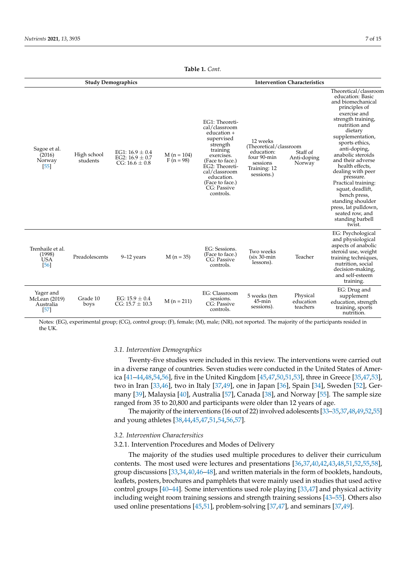|                                                   |                                                                                             |                                           |                                                                                                                                                                                                                         | 10016 1. CVIII.                                                                                            |                                         |                                                                                                                                                                                                                                                                                                                                                                                                                                                                 |                                                                                                                                                                                       |
|---------------------------------------------------|---------------------------------------------------------------------------------------------|-------------------------------------------|-------------------------------------------------------------------------------------------------------------------------------------------------------------------------------------------------------------------------|------------------------------------------------------------------------------------------------------------|-----------------------------------------|-----------------------------------------------------------------------------------------------------------------------------------------------------------------------------------------------------------------------------------------------------------------------------------------------------------------------------------------------------------------------------------------------------------------------------------------------------------------|---------------------------------------------------------------------------------------------------------------------------------------------------------------------------------------|
|                                                   |                                                                                             | <b>Study Demographics</b>                 |                                                                                                                                                                                                                         | <b>Intervention Characteristics</b>                                                                        |                                         |                                                                                                                                                                                                                                                                                                                                                                                                                                                                 |                                                                                                                                                                                       |
| Sagoe et al.<br>(2016)<br>Norway<br>[55]          | EG1: $16.9 \pm 0.4$<br>High school<br>EG2: $16.9 \pm 0.7$<br>students<br>CG: $16.6 \pm 0.8$ | $M(n = 104)$<br>$F(n = 98)$               | EG1: Theoreti-<br>cal/classroom<br>$education +$<br>supervised<br>strength<br>training<br>exercises.<br>(Face to face.)<br>EG2: Theoreti-<br>cal/classroom<br>education.<br>(Face to face.)<br>CG: Passive<br>controls. | 12 weeks<br>(Theoretical/classroom)<br>education:<br>four 90-min<br>sessions<br>Training: 12<br>sessions.) | Staff of<br>Anti-doping<br>Norway       | Theoretical/classroom<br>education: Basic<br>and biomechanical<br>principles of<br>exercise and<br>strength training,<br>nutrition and<br>dietary<br>supplementation,<br>sports ethics,<br>anti-doping,<br>anabolic steroids<br>and their adverse<br>health effects,<br>dealing with peer<br>pressure.<br>Practical training:<br>squat, deadlift,<br>bench press,<br>standing shoulder<br>press, lat pulldown,<br>seated row, and<br>standing barbell<br>twist. |                                                                                                                                                                                       |
| Trenhaile et al.<br>(1998)<br><b>USA</b><br>[56]  | Preadolescents                                                                              | $9-12$ years                              | $M(n = 35)$                                                                                                                                                                                                             | EG: Sessions.<br>(Face to face.)<br>CG: Passive<br>controls.                                               | Two weeks<br>$(six 30-min$<br>lessons). | Teacher                                                                                                                                                                                                                                                                                                                                                                                                                                                         | EG: Psychological<br>and physiological<br>aspects of anabolic<br>steroid use, weight<br>training techniques,<br>nutrition, social<br>decision-making,<br>and self-esteem<br>training. |
| Yager and<br>McLean (2019)<br>Australia<br>$[57]$ | Grade 10<br>boys                                                                            | EG: $15.9 \pm 0.4$<br>$CG: 15.7 \pm 10.3$ | $M(n = 211)$                                                                                                                                                                                                            | EG: Classroom<br>sessions.<br>CG: Passive<br>controls.                                                     | 5 weeks (ten<br>45-min<br>sessions).    | Physical<br>education<br>teachers                                                                                                                                                                                                                                                                                                                                                                                                                               | EG: Drug and<br>supplement<br>education, strength<br>training, sports<br>nutrition.                                                                                                   |

Notes: (EG), experimental group; (CG), control group; (F), female; (M), male; (NR), not reported. The majority of the participants resided in the UK.

#### *3.1. Intervention Demographics*

Twenty-five studies were included in this review. The interventions were carried out in a diverse range of countries. Seven studies were conducted in the United States of America [\[41](#page-13-27)[–44](#page-14-1)[,48](#page-14-5)[,54](#page-14-11)[,56\]](#page-14-13), five in the United Kingdom [\[45](#page-14-2)[,47](#page-14-4)[,50,](#page-14-7)[51,](#page-14-8)[53\]](#page-14-10), three in Greece [\[35](#page-13-21)[,47](#page-14-4)[,53\]](#page-14-10), two in Iran [\[33](#page-13-19)[,46\]](#page-14-3), two in Italy [\[37,](#page-13-23)[49\]](#page-14-6), one in Japan [\[36\]](#page-13-22), Spain [\[34\]](#page-13-20), Sweden [\[52\]](#page-14-9), Germany [\[39\]](#page-13-25), Malaysia [\[40\]](#page-13-26), Australia [\[57\]](#page-14-14), Canada [\[38\]](#page-13-24), and Norway [\[55\]](#page-14-12). The sample size ranged from 35 to 20,800 and participants were older than 12 years of age.

The majority of the interventions (16 out of 22) involved adolescents [\[33–](#page-13-19)[35](#page-13-21)[,37](#page-13-23)[,48](#page-14-5)[,49](#page-14-6)[,52](#page-14-9)[,55\]](#page-14-12) and young athletes [\[38,](#page-13-24)[44,](#page-14-1)[45,](#page-14-2)[47,](#page-14-4)[51](#page-14-8)[,54](#page-14-11)[,56](#page-14-13)[,57\]](#page-14-14).

# *3.2. Intervention Charactersitics*

# 3.2.1. Intervention Procedures and Modes of Delivery

The majority of the studies used multiple procedures to deliver their curriculum contents. The most used were lectures and presentations [\[36,](#page-13-22)[37,](#page-13-23)[40,](#page-13-26)[42,](#page-13-28)[43,](#page-14-0)[48,](#page-14-5)[51,](#page-14-8)[52,](#page-14-9)[55,](#page-14-12)[58\]](#page-14-15), group discussions [\[33,](#page-13-19)[34](#page-13-20)[,40](#page-13-26)[,46–](#page-14-3)[48\]](#page-14-5), and written materials in the form of booklets, handouts, leaflets, posters, brochures and pamphlets that were mainly used in studies that used active control groups [\[40](#page-13-26)[–44\]](#page-14-1). Some interventions used role playing [\[33](#page-13-19)[,47\]](#page-14-4) and physical activity including weight room training sessions and strength training sessions [\[43–](#page-14-0)[55\]](#page-14-12). Others also used online presentations [\[45](#page-14-2)[,51\]](#page-14-8), problem-solving [\[37](#page-13-23)[,47\]](#page-14-4), and seminars [\[37](#page-13-23)[,49\]](#page-14-6).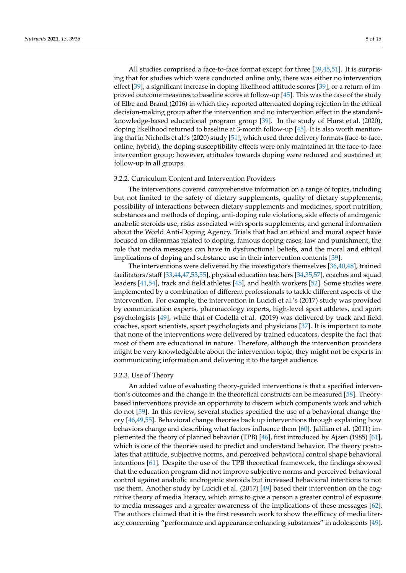All studies comprised a face-to-face format except for three [\[39](#page-13-25)[,45](#page-14-2)[,51\]](#page-14-8). It is surprising that for studies which were conducted online only, there was either no intervention effect [\[39\]](#page-13-25), a significant increase in doping likelihood attitude scores [\[39\]](#page-13-25), or a return of im-proved outcome measures to baseline scores at follow-up [\[45\]](#page-14-2). This was the case of the study of Elbe and Brand (2016) in which they reported attenuated doping rejection in the ethical decision-making group after the intervention and no intervention effect in the standardknowledge-based educational program group [\[39\]](#page-13-25). In the study of Hurst et al. (2020), doping likelihood returned to baseline at 3-month follow-up [\[45\]](#page-14-2). It is also worth mentioning that in Nicholls et al.'s (2020) study [\[51\]](#page-14-8), which used three delivery formats (face-to-face, online, hybrid), the doping susceptibility effects were only maintained in the face-to-face intervention group; however, attitudes towards doping were reduced and sustained at follow-up in all groups.

#### 3.2.2. Curriculum Content and Intervention Providers

The interventions covered comprehensive information on a range of topics, including but not limited to the safety of dietary supplements, quality of dietary supplements, possibility of interactions between dietary supplements and medicines, sport nutrition, substances and methods of doping, anti-doping rule violations, side effects of androgenic anabolic steroids use, risks associated with sports supplements, and general information about the World Anti-Doping Agency. Trials that had an ethical and moral aspect have focused on dilemmas related to doping, famous doping cases, law and punishment, the role that media messages can have in dysfunctional beliefs, and the moral and ethical implications of doping and substance use in their intervention contents [\[39\]](#page-13-25).

The interventions were delivered by the investigators themselves [\[36](#page-13-22)[,40](#page-13-26)[,48\]](#page-14-5), trained facilitators/staff [\[33](#page-13-19)[,44](#page-14-1)[,47,](#page-14-4)[53,](#page-14-10)[55\]](#page-14-12), physical education teachers [\[34](#page-13-20)[,35,](#page-13-21)[57\]](#page-14-14), coaches and squad leaders [\[41](#page-13-27)[,54\]](#page-14-11), track and field athletes [\[45\]](#page-14-2), and health workers [\[52\]](#page-14-9). Some studies were implemented by a combination of different professionals to tackle different aspects of the intervention. For example, the intervention in Lucidi et al.'s (2017) study was provided by communication experts, pharmacology experts, high-level sport athletes, and sport psychologists [\[49\]](#page-14-6), while that of Codella et al. (2019) was delivered by track and field coaches, sport scientists, sport psychologists and physicians [\[37\]](#page-13-23). It is important to note that none of the interventions were delivered by trained educators, despite the fact that most of them are educational in nature. Therefore, although the intervention providers might be very knowledgeable about the intervention topic, they might not be experts in communicating information and delivering it to the target audience.

#### 3.2.3. Use of Theory

An added value of evaluating theory-guided interventions is that a specified intervention's outcomes and the change in the theoretical constructs can be measured [\[58\]](#page-14-15). Theorybased interventions provide an opportunity to discern which components work and which do not [\[59\]](#page-14-16). In this review, several studies specified the use of a behavioral change theory [\[46,](#page-14-3)[49](#page-14-6)[,55\]](#page-14-12). Behavioral change theories back up interventions through explaining how behaviors change and describing what factors influence them [\[60\]](#page-14-17). Jalilian et al. (2011) implemented the theory of planned behavior (TPB) [\[46\]](#page-14-3), first introduced by Ajzen (1985) [\[61\]](#page-14-18), which is one of the theories used to predict and understand behavior. The theory postulates that attitude, subjective norms, and perceived behavioral control shape behavioral intentions [\[61\]](#page-14-18). Despite the use of the TPB theoretical framework, the findings showed that the education program did not improve subjective norms and perceived behavioral control against anabolic androgenic steroids but increased behavioral intentions to not use them. Another study by Lucidi et al. (2017) [\[49\]](#page-14-6) based their intervention on the cognitive theory of media literacy, which aims to give a person a greater control of exposure to media messages and a greater awareness of the implications of these messages [\[62\]](#page-14-19). The authors claimed that it is the first research work to show the efficacy of media literacy concerning "performance and appearance enhancing substances" in adolescents [\[49\]](#page-14-6).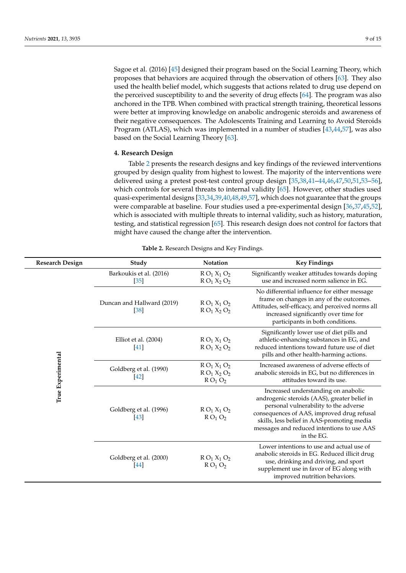Sagoe et al. (2016) [\[45\]](#page-14-2) designed their program based on the Social Learning Theory, which proposes that behaviors are acquired through the observation of others [\[63\]](#page-14-20). They also used the health belief model, which suggests that actions related to drug use depend on the perceived susceptibility to and the severity of drug effects [\[64\]](#page-14-21). The program was also anchored in the TPB. When combined with practical strength training, theoretical lessons were better at improving knowledge on anabolic androgenic steroids and awareness of their negative consequences. The Adolescents Training and Learning to Avoid Steroids Program (ATLAS), which was implemented in a number of studies [\[43,](#page-14-0)[44](#page-14-1)[,57\]](#page-14-14), was also based on the Social Learning Theory [\[63\]](#page-14-20).

# **4. Research Design**

Table [2](#page-8-0) presents the research designs and key findings of the reviewed interventions grouped by design quality from highest to lowest. The majority of the interventions were delivered using a pretest post-test control group design [\[35,](#page-13-21)[38](#page-13-24)[,41](#page-13-27)[–44,](#page-14-1)[46,](#page-14-3)[47,](#page-14-4)[50,](#page-14-7)[51,](#page-14-8)[53–](#page-14-10)[56\]](#page-14-13), which controls for several threats to internal validity [\[65\]](#page-14-22). However, other studies used quasi-experimental designs [\[33](#page-13-19)[,34,](#page-13-20)[39,](#page-13-25)[40,](#page-13-26)[48](#page-14-5)[,49](#page-14-6)[,57\]](#page-14-14), which does not guarantee that the groups were comparable at baseline. Four studies used a pre-experimental design [\[36,](#page-13-22)[37,](#page-13-23)[45,](#page-14-2)[52\]](#page-14-9), which is associated with multiple threats to internal validity, such as history, maturation, testing, and statistical regression [\[65\]](#page-14-22). This research design does not control for factors that might have caused the change after the intervention.

<span id="page-8-0"></span>

| <b>Research Design</b> | Study                                       | Notation                                                              | <b>Key Findings</b>                                                                                                                                                                                                                                                                  |
|------------------------|---------------------------------------------|-----------------------------------------------------------------------|--------------------------------------------------------------------------------------------------------------------------------------------------------------------------------------------------------------------------------------------------------------------------------------|
|                        | Barkoukis et al. (2016)<br>$[35]$           | $R O_1 X_1 O_2$<br>$R O_1 X_2 O_2$                                    | Significantly weaker attitudes towards doping<br>use and increased norm salience in EG.                                                                                                                                                                                              |
|                        | Duncan and Hallward (2019)<br>[38]          | $R O_1 X_1 O_2$<br>$R O_1 X_2 O_2$                                    | No differential influence for either message<br>frame on changes in any of the outcomes.<br>Attitudes, self-efficacy, and perceived norms all<br>increased significantly over time for<br>participants in both conditions.                                                           |
|                        | Elliot et al. (2004)<br>$[41]$              | $R O_1 X_1 O_2$<br>$R O_1 X_2 O_2$                                    | Significantly lower use of diet pills and<br>athletic-enhancing substances in EG, and<br>reduced intentions toward future use of diet<br>pills and other health-harming actions.                                                                                                     |
| True Experimental      | Goldberg et al. (1990)<br>$[42]$            | $R O_1 X_1 O_2$<br>$R O_1 X_2 O_2$<br>R O <sub>1</sub> O <sub>2</sub> | Increased awareness of adverse effects of<br>anabolic steroids in EG, but no differences in<br>attitudes toward its use.                                                                                                                                                             |
|                        | Goldberg et al. (1996)<br>$\left[43\right]$ | $R O_1 X_1 O_2$<br>$R O_1 O_2$                                        | Increased understanding on anabolic<br>androgenic steroids (AAS), greater belief in<br>personal vulnerability to the adverse<br>consequences of AAS, improved drug refusal<br>skills, less belief in AAS-promoting media<br>messages and reduced intentions to use AAS<br>in the EG. |
|                        | Goldberg et al. (2000)<br>[44]              | $R O_1 X_1 O_2$<br>$R O_1 O_2$                                        | Lower intentions to use and actual use of<br>anabolic steroids in EG. Reduced illicit drug<br>use, drinking and driving, and sport<br>supplement use in favor of EG along with<br>improved nutrition behaviors.                                                                      |

**Table 2.** Research Designs and Key Findings.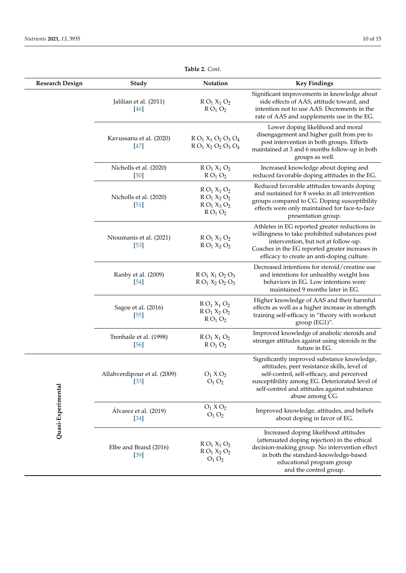| <b>Research Design</b> | Study                                | Notation                                                              | <b>Key Findings</b>                                                                                                                                                                                                                                           |
|------------------------|--------------------------------------|-----------------------------------------------------------------------|---------------------------------------------------------------------------------------------------------------------------------------------------------------------------------------------------------------------------------------------------------------|
|                        | Jalilian et al. (2011)<br>[46]       | $R O_1 X_1 O_2$<br>$R O_1 O_2$                                        | Significant improvements in knowledge about<br>side effects of AAS, attitude toward, and<br>intention not to use AAS. Decrements in the<br>rate of AAS and supplements use in the EG.                                                                         |
|                        | Kavussanu et al. (2020)<br>[47]      | $R O_1 X_1 O_2 O_3 O_4$<br>$R O_1 X_2 O_2 O_3 O_4$                    | Lower doping likelihood and moral<br>disengagement and higher guilt from pre to<br>post intervention in both groups. Effects<br>maintained at 3 and 6 months follow-up in both<br>groups as well.                                                             |
|                        | Nicholls et al. (2020)<br>$[50]$     | $R O_1 X_1 O_2$<br>$R O_1 O_2$                                        | Increased knowledge about doping and<br>reduced favorable doping attitudes in the EG.                                                                                                                                                                         |
|                        | Nicholls et al. (2020)<br>$[51]$     | $R O_1 X_1 O_2$<br>$R O_1 X_2 O_2$<br>$R O_1 X_3 O_2$<br>$R O_1 O_2$  | Reduced favorable attitudes towards doping<br>and sustained for 8 weeks in all intervention<br>groups compared to CG. Doping susceptibility<br>effects were only maintained for face-to-face<br>presentation group.                                           |
|                        | Ntoumanis et al. (2021)<br>$[53]$    | $R O_1 X_1 O_2$<br>$R O_1 X_2 O_2$                                    | Athletes in EG reported greater reductions in<br>willingness to take prohibited substances post<br>intervention, but not at follow-up.<br>Coaches in the EG reported greater increases in<br>efficacy to create an anti-doping culture.                       |
|                        | Ranby et al. (2009)<br>$[54]$        | $R O_1 X_1 O_2 O_3$<br>$R O_1 X_2 O_2 O_3$                            | Decreased intentions for steroid/creatine use<br>and intentions for unhealthy weight loss<br>behaviors in EG. Low intentions were<br>maintained 9 months later in EG.                                                                                         |
|                        | Sagoe et al. (2016)<br>$[55]$        | $R O_1 X_1 O_2$<br>$R O_1 X_2 O_2$<br>R O <sub>1</sub> O <sub>2</sub> | Higher knowledge of AAS and their harmful<br>effects as well as a higher increase in strength<br>training self-efficacy in "theory with workout<br>group (EG1)".                                                                                              |
|                        | Trenhaile et al. (1998)<br>$[56]$    | $R O_1 X_1 O_2$<br>$R O_1 O_2$                                        | Improved knowledge of anabolic steroids and<br>stronger attitudes against using steroids in the<br>future in EG.                                                                                                                                              |
| Quasi-Experimental     | Allahverdipour et al. (2009)<br>[33] | $O_1 X O_2$<br>$O_1 O_2$                                              | Significantly improved substance knowledge,<br>attitudes, peer resistance skills, level of<br>self-control, self-efficacy, and perceived<br>susceptibility among EG. Deteriorated level of<br>self-control and attitudes against substance<br>abuse among CG. |
|                        | Álvarez et al. (2019)<br>$[34]$      | $O_1 X O_2$<br>$O_1 O_2$                                              | Improved knowledge, attitudes, and beliefs<br>about doping in favor of EG.                                                                                                                                                                                    |
|                        | Elbe and Brand (2016)<br>$[39]$      | $R O_1 X_1 O_2$<br>$R O_1 X_2 O_2$<br>$O_1 O_2$                       | Increased doping likelihood attitudes<br>(attenuated doping rejection) in the ethical<br>decision-making group. No intervention effect<br>in both the standard-knowledge-based<br>educational program group<br>and the control group.                         |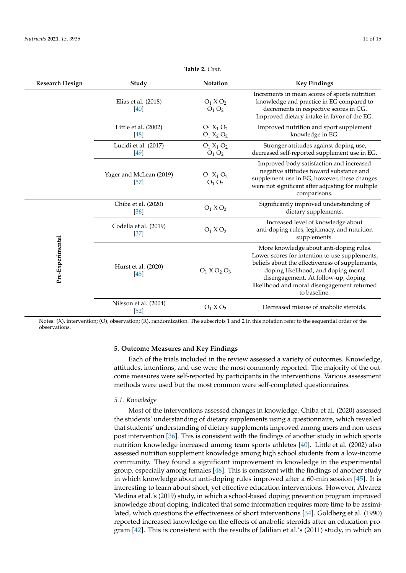| <b>Research Design</b> | Study                             | <b>Notation</b>                                | <b>Key Findings</b>                                                                                                                                                                                                                                                                       |
|------------------------|-----------------------------------|------------------------------------------------|-------------------------------------------------------------------------------------------------------------------------------------------------------------------------------------------------------------------------------------------------------------------------------------------|
|                        | Elias et al. (2018)<br>[40]       | $O_1$ $X$ $O_2$<br>$O_1 O_2$                   | Increments in mean scores of sports nutrition<br>knowledge and practice in EG compared to<br>decrements in respective scores in CG.<br>Improved dietary intake in favor of the EG.                                                                                                        |
|                        | Little et al. (2002)<br>[48]      | $O_1 X_1 O_2$<br>$O_1 X_2 O_2$                 | Improved nutrition and sport supplement<br>knowledge in EG.                                                                                                                                                                                                                               |
|                        | Lucidi et al. (2017)<br>[49]      | $O_1 X_1 O_2$<br>$O_1 O_2$                     | Stronger attitudes against doping use,<br>decreased self-reported supplement use in EG.                                                                                                                                                                                                   |
|                        | Yager and McLean (2019)<br>$[57]$ | $O_1 X_1 O_2$<br>O <sub>1</sub> O <sub>2</sub> | Improved body satisfaction and increased<br>negative attitudes toward substance and<br>supplement use in EG; however, these changes<br>were not significant after adjusting for multiple<br>comparisons.                                                                                  |
|                        | Chiba et al. (2020)<br>[36]       | $O_1 X O_2$                                    | Significantly improved understanding of<br>dietary supplements.                                                                                                                                                                                                                           |
|                        | Codella et al. (2019)<br>$[37]$   | $O_1 X O_2$                                    | Increased level of knowledge about<br>anti-doping rules, legitimacy, and nutrition<br>supplements.                                                                                                                                                                                        |
| Pre-Experimental       | Hurst et al. (2020)<br>[45]       |                                                | More knowledge about anti-doping rules.<br>Lower scores for intention to use supplements,<br>beliefs about the effectiveness of supplements,<br>doping likelihood, and doping moral<br>disengagement. At follow-up, doping<br>likelihood and moral disengagement returned<br>to baseline. |
|                        | Nilsson et al. (2004)<br>$[52]$   | $O_1$ X $O_2$                                  | Decreased misuse of anabolic steroids.                                                                                                                                                                                                                                                    |

Notes: (X), intervention; (O), observation; (R), randomization. The subscripts 1 and 2 in this notation refer to the sequential order of the observations.

#### **5. Outcome Measures and Key Findings**

Each of the trials included in the review assessed a variety of outcomes. Knowledge, attitudes, intentions, and use were the most commonly reported. The majority of the outcome measures were self-reported by participants in the interventions. Various assessment methods were used but the most common were self-completed questionnaires.

# *5.1. Knowledge*

Most of the interventions assessed changes in knowledge. Chiba et al. (2020) assessed the students' understanding of dietary supplements using a questionnaire, which revealed that students' understanding of dietary supplements improved among users and non-users post intervention [\[36\]](#page-13-22). This is consistent with the findings of another study in which sports nutrition knowledge increased among team sports athletes [\[40\]](#page-13-26). Little et al. (2002) also assessed nutrition supplement knowledge among high school students from a low-income community. They found a significant improvement in knowledge in the experimental group, especially among females [\[48\]](#page-14-5). This is consistent with the findings of another study in which knowledge about anti-doping rules improved after a 60-min session [\[45\]](#page-14-2). It is interesting to learn about short, yet effective education interventions. However, Álvarez Medina et al.'s (2019) study, in which a school-based doping prevention program improved knowledge about doping, indicated that some information requires more time to be assimilated, which questions the effectiveness of short interventions [\[34\]](#page-13-20). Goldberg et al. (1990) reported increased knowledge on the effects of anabolic steroids after an education program [\[42\]](#page-13-28). This is consistent with the results of Jalilian et al.'s (2011) study, in which an

**Table 2.** *Cont.*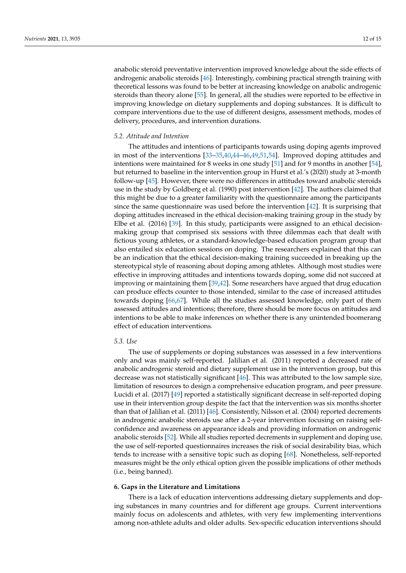anabolic steroid preventative intervention improved knowledge about the side effects of androgenic anabolic steroids [\[46\]](#page-14-3). Interestingly, combining practical strength training with theoretical lessons was found to be better at increasing knowledge on anabolic androgenic steroids than theory alone [\[55\]](#page-14-12). In general, all the studies were reported to be effective in improving knowledge on dietary supplements and doping substances. It is difficult to compare interventions due to the use of different designs, assessment methods, modes of delivery, procedures, and intervention durations.

#### *5.2. Attitude and Intention*

The attitudes and intentions of participants towards using doping agents improved in most of the interventions [\[33](#page-13-19)[–35,](#page-13-21)[40,](#page-13-26)[44](#page-14-1)[–46,](#page-14-3)[49,](#page-14-6)[51,](#page-14-8)[54\]](#page-14-11). Improved doping attitudes and intentions were maintained for 8 weeks in one study [\[51\]](#page-14-8) and for 9 months in another [\[54\]](#page-14-11), but returned to baseline in the intervention group in Hurst et al.'s (2020) study at 3-month follow-up [\[45\]](#page-14-2). However, there were no differences in attitudes toward anabolic steroids use in the study by Goldberg et al. (1990) post intervention [\[42\]](#page-13-28). The authors claimed that this might be due to a greater familiarity with the questionnaire among the participants since the same questionnaire was used before the intervention [\[42\]](#page-13-28). It is surprising that doping attitudes increased in the ethical decision-making training group in the study by Elbe et al. (2016) [\[39\]](#page-13-25). In this study, participants were assigned to an ethical decisionmaking group that comprised six sessions with three dilemmas each that dealt with fictious young athletes, or a standard-knowledge-based education program group that also entailed six education sessions on doping. The researchers explained that this can be an indication that the ethical decision-making training succeeded in breaking up the stereotypical style of reasoning about doping among athletes. Although most studies were effective in improving attitudes and intentions towards doping, some did not succeed at improving or maintaining them [\[39,](#page-13-25)[42\]](#page-13-28). Some researchers have argued that drug education can produce effects counter to those intended, similar to the case of increased attitudes towards doping [\[66](#page-14-23)[,67\]](#page-14-24). While all the studies assessed knowledge, only part of them assessed attitudes and intentions; therefore, there should be more focus on attitudes and intentions to be able to make inferences on whether there is any unintended boomerang effect of education interventions.

#### *5.3. Use*

The use of supplements or doping substances was assessed in a few interventions only and was mainly self-reported. Jalilian et al. (2011) reported a decreased rate of anabolic androgenic steroid and dietary supplement use in the intervention group, but this decrease was not statistically significant [\[46\]](#page-14-3). This was attributed to the low sample size, limitation of resources to design a comprehensive education program, and peer pressure. Lucidi et al. (2017) [\[49\]](#page-14-6) reported a statistically significant decrease in self-reported doping use in their intervention group despite the fact that the intervention was six months shorter than that of Jalilian et al. (2011) [\[46\]](#page-14-3). Consistently, Nilsson et al. (2004) reported decrements in androgenic anabolic steroids use after a 2-year intervention focusing on raising selfconfidence and awareness on appearance ideals and providing information on androgenic anabolic steroids [\[52\]](#page-14-9). While all studies reported decrements in supplement and doping use, the use of self-reported questionnaires increases the risk of social desirability bias, which tends to increase with a sensitive topic such as doping [\[68\]](#page-14-25). Nonetheless, self-reported measures might be the only ethical option given the possible implications of other methods (i.e., being banned).

# **6. Gaps in the Literature and Limitations**

There is a lack of education interventions addressing dietary supplements and doping substances in many countries and for different age groups. Current interventions mainly focus on adolescents and athletes, with very few implementing interventions among non-athlete adults and older adults. Sex-specific education interventions should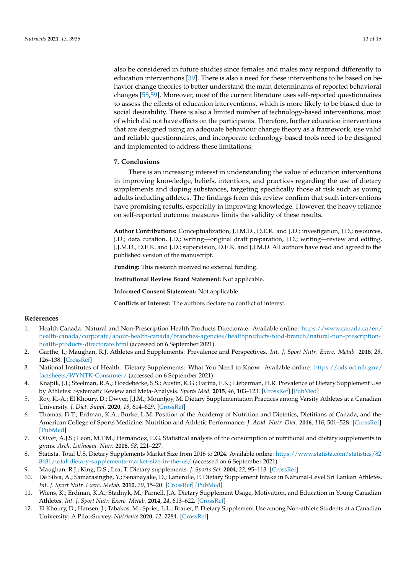also be considered in future studies since females and males may respond differently to education interventions [\[39\]](#page-13-25). There is also a need for these interventions to be based on behavior change theories to better understand the main determinants of reported behavioral changes [\[58](#page-14-15)[,59\]](#page-14-16). Moreover, most of the current literature uses self-reported questionnaires to assess the effects of education interventions, which is more likely to be biased due to social desirability. There is also a limited number of technology-based interventions, most of which did not have effects on the participants. Therefore, further education interventions that are designed using an adequate behaviour change theory as a framework, use valid and reliable questionnaires, and incorporate technology-based tools need to be designed and implemented to address these limitations.

#### **7. Conclusions**

There is an increasing interest in understanding the value of education interventions in improving knowledge, beliefs, intentions, and practices regarding the use of dietary supplements and doping substances, targeting specifically those at risk such as young adults including athletes. The findings from this review confirm that such interventions have promising results, especially in improving knowledge. However, the heavy reliance on self-reported outcome measures limits the validity of these results.

**Author Contributions:** Conceptualization, J.J.M.D., D.E.K. and J.D.; investigation, J.D.; resources, J.D.; data curation, J.D.; writing—original draft preparation, J.D.; writing—review and editing, J.J.M.D., D.E.K. and J.D.; supervision, D.E.K. and J.J.M.D. All authors have read and agreed to the published version of the manuscript.

**Funding:** This research received no external funding.

**Institutional Review Board Statement:** Not applicable.

**Informed Consent Statement:** Not applicable.

**Conflicts of Interest:** The authors declare no conflict of interest.

#### **References**

- <span id="page-12-0"></span>1. Health Canada. Natural and Non-Prescription Health Products Directorate. Available online: [https://www.canada.ca/en/](https://www.canada.ca/en/health-canada/corporate/about-health-canada/branches-agencies/healthproducts-food-branch/natural-non-prescription-health-products-directorate.html) [health-canada/corporate/about-health-canada/branches-agencies/healthproducts-food-branch/natural-non-prescription](https://www.canada.ca/en/health-canada/corporate/about-health-canada/branches-agencies/healthproducts-food-branch/natural-non-prescription-health-products-directorate.html)[health-products-directorate.html](https://www.canada.ca/en/health-canada/corporate/about-health-canada/branches-agencies/healthproducts-food-branch/natural-non-prescription-health-products-directorate.html) (accessed on 6 September 2021).
- <span id="page-12-1"></span>2. Garthe, I.; Maughan, R.J. Athletes and Supplements: Prevalence and Perspectives. *Int. J. Sport Nutr. Exerc. Metab.* **2018**, *28*, 126–138. [\[CrossRef\]](http://doi.org/10.1123/ijsnem.2017-0429)
- <span id="page-12-2"></span>3. National Institutes of Health. Dietary Supplements: What You Need to Know. Available online: [https://ods.od.nih.gov/](https://ods.od.nih.gov/factsheets/WYNTK-Consumer/) [factsheets/WYNTK-Consumer/](https://ods.od.nih.gov/factsheets/WYNTK-Consumer/) (accessed on 6 September 2021).
- <span id="page-12-3"></span>4. Knapik, J.J.; Steelman, R.A.; Hoedebecke, S.S.; Austin, K.G.; Farina, E.K.; Lieberman, H.R. Prevalence of Dietary Supplement Use by Athletes: Systematic Review and Meta-Analysis. *Sports Med.* **2015**, *46*, 103–123. [\[CrossRef\]](http://doi.org/10.1007/s40279-015-0387-7) [\[PubMed\]](http://www.ncbi.nlm.nih.gov/pubmed/26442916)
- <span id="page-12-4"></span>5. Roy, K.-A.; El Khoury, D.; Dwyer, J.J.M.; Mountjoy, M. Dietary Supplementation Practices among Varsity Athletes at a Canadian University. *J. Diet. Suppl.* **2020**, *18*, 614–629. [\[CrossRef\]](http://doi.org/10.1080/19390211.2020.1826618)
- <span id="page-12-5"></span>6. Thomas, D.T.; Erdman, K.A.; Burke, L.M. Position of the Academy of Nutrition and Dietetics, Dietitians of Canada, and the American College of Sports Medicine: Nutrition and Athletic Performance. *J. Acad. Nutr. Diet.* **2016**, *116*, 501–528. [\[CrossRef\]](http://doi.org/10.1016/j.jand.2015.12.006) [\[PubMed\]](http://www.ncbi.nlm.nih.gov/pubmed/26920240)
- <span id="page-12-6"></span>7. Oliver, A.J.S.; Leon, M.T.M.; Hernández, E.G. Statistical analysis of the consumption of nutritional and dietary supplements in gyms. *Arch. Latinoam. Nutr.* **2008**, *58*, 221–227.
- <span id="page-12-7"></span>8. Statista. Total U.S. Dietary Supplements Market Size from 2016 to 2024. Available online: [https://www.statista.com/statistics/82](https://www.statista.com/statistics/828481/total-dietary-supplements-market-size-in-the-us/) [8481/total-dietary-supplements-market-size-in-the-us/](https://www.statista.com/statistics/828481/total-dietary-supplements-market-size-in-the-us/) (accessed on 6 September 2021).
- <span id="page-12-8"></span>9. Maughan, R.J.; King, D.S.; Lea, T. Dietary supplements. *J. Sports Sci.* **2004**, *22*, 95–113. [\[CrossRef\]](http://doi.org/10.1080/0264041031000140581)
- <span id="page-12-9"></span>10. De Silva, A.; Samarasinghe, Y.; Senanayake, D.; Lanerolle, P. Dietary Supplement Intake in National-Level Sri Lankan Athletes. *Int. J. Sport Nutr. Exerc. Metab.* **2010**, *20*, 15–20. [\[CrossRef\]](http://doi.org/10.1123/ijsnem.20.1.15) [\[PubMed\]](http://www.ncbi.nlm.nih.gov/pubmed/20190347)
- <span id="page-12-10"></span>11. Wiens, K.; Erdman, K.A.; Stadnyk, M.; Parnell, J.A. Dietary Supplement Usage, Motivation, and Education in Young Canadian Athletes. *Int. J. Sport Nutr. Exerc. Metab.* **2014**, *24*, 613–622. [\[CrossRef\]](http://doi.org/10.1123/ijsnem.2013-0087)
- <span id="page-12-11"></span>12. El Khoury, D.; Hansen, J.; Tabakos, M.; Spriet, L.L.; Brauer, P. Dietary Supplement Use among Non-athlete Students at a Canadian University: A Pilot-Survey. *Nutrients* **2020**, *12*, 2284. [\[CrossRef\]](http://doi.org/10.3390/nu12082284)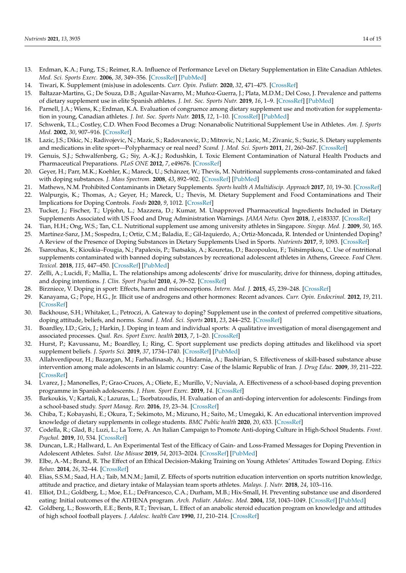- <span id="page-13-0"></span>13. Erdman, K.A.; Fung, T.S.; Reimer, R.A. Influence of Performance Level on Dietary Supplementation in Elite Canadian Athletes. *Med. Sci. Sports Exerc.* **2006**, *38*, 349–356. [\[CrossRef\]](http://doi.org/10.1249/01.mss.0000187332.92169.e0) [\[PubMed\]](http://www.ncbi.nlm.nih.gov/pubmed/16531906)
- <span id="page-13-1"></span>14. Tiwari, K. Supplement (mis)use in adolescents. *Curr. Opin. Pediatr.* **2020**, *32*, 471–475. [\[CrossRef\]](http://doi.org/10.1097/MOP.0000000000000912)
- <span id="page-13-2"></span>15. Baltazar-Martins, G.; De Souza, D.B.; Aguilar-Navarro, M.; Muñoz-Guerra, J.; Plata, M.D.M.; Del Coso, J. Prevalence and patterns of dietary supplement use in elite Spanish athletes. *J. Int. Soc. Sports Nutr.* **2019**, *16*, 1–9. [\[CrossRef\]](http://doi.org/10.1186/s12970-019-0296-5) [\[PubMed\]](http://www.ncbi.nlm.nih.gov/pubmed/31319850)
- <span id="page-13-3"></span>16. Parnell, J.A.; Wiens, K.; Erdman, K.A. Evaluation of congruence among dietary supplement use and motivation for supplementation in young, Canadian athletes. *J. Int. Soc. Sports Nutr.* **2015**, *12*, 1–10. [\[CrossRef\]](http://doi.org/10.1186/s12970-015-0110-y) [\[PubMed\]](http://www.ncbi.nlm.nih.gov/pubmed/26677351)
- <span id="page-13-4"></span>17. Schwenk, T.L.; Costley, C.D. When Food Becomes a Drug: Nonanabolic Nutritional Supplement Use in Athletes. *Am. J. Sports Med.* **2002**, *30*, 907–916. [\[CrossRef\]](http://doi.org/10.1177/03635465020300062701)
- <span id="page-13-5"></span>18. Lazic, J.S.; Dikic, N.; Radivojevic, N.; Mazic, S.; Radovanovic, D.; Mitrovic, N.; Lazic, M.; Zivanic, S.; Suzic, S. Dietary supplements and medications in elite sport—Polypharmacy or real need? *Scand. J. Med. Sci. Sports* **2011**, *21*, 260–267. [\[CrossRef\]](http://doi.org/10.1111/j.1600-0838.2009.01026.x)
- <span id="page-13-6"></span>19. Genuis, S.J.; Schwalfenberg, G.; Siy, A.-K.J.; Rodushkin, I. Toxic Element Contamination of Natural Health Products and Pharmaceutical Preparations. *PLoS ONE* **2012**, *7*, e49676. [\[CrossRef\]](http://doi.org/10.1371/journal.pone.0049676)
- <span id="page-13-7"></span>20. Geyer, H.; Parr, M.K.; Koehler, K.; Mareck, U.; Schänzer, W.; Thevis, M. Nutritional supplements cross-contaminated and faked with doping substances. *J. Mass Spectrom.* **2008**, *43*, 892–902. [\[CrossRef\]](http://doi.org/10.1002/jms.1452) [\[PubMed\]](http://www.ncbi.nlm.nih.gov/pubmed/18563865)
- <span id="page-13-10"></span>21. Mathews, N.M. Prohibited Contaminants in Dietary Supplements. *Sports health A Multidiscip. Approach* **2017**, *10*, 19–30. [\[CrossRef\]](http://doi.org/10.1177/1941738117727736)
- <span id="page-13-8"></span>22. Walpurgis, K.; Thomas, A.; Geyer, H.; Mareck, U.; Thevis, M. Dietary Supplement and Food Contaminations and Their Implications for Doping Controls. *Foods* **2020**, *9*, 1012. [\[CrossRef\]](http://doi.org/10.3390/foods9081012)
- <span id="page-13-9"></span>23. Tucker, J.; Fischer, T.; Upjohn, L.; Mazzera, D.; Kumar, M. Unapproved Pharmaceutical Ingredients Included in Dietary Supplements Associated with US Food and Drug Administration Warnings. *JAMA Netw. Open* **2018**, *1*, e183337. [\[CrossRef\]](http://doi.org/10.1001/jamanetworkopen.2018.3337)
- <span id="page-13-11"></span>24. Tian, H.H.; Ong, W.S.; Tan, C.L. Nutritional supplement use among university athletes in Singapore. *Singap. Med. J.* **2009**, *50*, 165.
- <span id="page-13-12"></span>25. Martínez-Sanz, J.M.; Sospedra, I.; Ortiz, C.M.; Baladia, E.; Gil-Izquierdo, A.; Ortiz-Moncada, R. Intended or Unintended Doping? A Review of the Presence of Doping Substances in Dietary Supplements Used in Sports. *Nutrients* **2017**, *9*, 1093. [\[CrossRef\]](http://doi.org/10.3390/nu9101093)
- <span id="page-13-13"></span>26. Tsarouhas, K.; Kioukia–Fougia, N.; Papalexis, P.; Tsatsakis, A.; Kouretas, D.; Bacopoulou, F.; Tsitsimpikou, C. Use of nutritional supplements contaminated with banned doping substances by recreational adolescent athletes in Athens, Greece. *Food Chem. Toxicol.* **2018**, *115*, 447–450. [\[CrossRef\]](http://doi.org/10.1016/j.fct.2018.03.043) [\[PubMed\]](http://www.ncbi.nlm.nih.gov/pubmed/29621580)
- <span id="page-13-14"></span>27. Zelli, A.; Lucidi, F.; Mallia, L. The relationships among adolescents' drive for muscularity, drive for thinness, doping attitudes, and doping intentions. *J. Clin. Sport Psychol* **2010**, *4*, 39–52. [\[CrossRef\]](http://doi.org/10.1123/jcsp.4.1.39)
- <span id="page-13-15"></span>28. Birzniece, V. Doping in sport: Effects, harm and misconceptions. *Intern. Med. J.* **2015**, *45*, 239–248. [\[CrossRef\]](http://doi.org/10.1111/imj.12629)
- <span id="page-13-16"></span>29. Kanayama, G.; Pope, H.G., Jr. Illicit use of androgens and other hormones: Recent advances. *Curr. Opin. Endocrinol.* **2012**, *19*, 211. [\[CrossRef\]](http://doi.org/10.1097/MED.0b013e3283524008)
- <span id="page-13-17"></span>30. Backhouse, S.H.; Whitaker, L.; Petroczi, A. Gateway to doping? Supplement use in the context of preferred competitive situations, doping attitude, beliefs, and norms. *Scand. J. Med. Sci. Sports* **2011**, *23*, 244–252. [\[CrossRef\]](http://doi.org/10.1111/j.1600-0838.2011.01374.x)
- 31. Boardley, I.D.; Grix, J.; Harkin, J. Doping in team and individual sports: A qualitative investigation of moral disengagement and associated processes. *Qual. Res. Sport Exerc. health* **2013**, *7*, 1–20. [\[CrossRef\]](http://doi.org/10.1080/2159676X.2014.992039)
- <span id="page-13-18"></span>32. Hurst, P.; Kavussanu, M.; Boardley, I.; Ring, C. Sport supplement use predicts doping attitudes and likelihood via sport supplement beliefs. *J. Sports Sci.* **2019**, *37*, 1734–1740. [\[CrossRef\]](http://doi.org/10.1080/02640414.2019.1589920) [\[PubMed\]](http://www.ncbi.nlm.nih.gov/pubmed/30860956)
- <span id="page-13-19"></span>33. Allahverdipour, H.; Bazargan, M.; Farhadinasab, A.; Hidarnia, A.; Bashirian, S. Effectiveness of skill-based substance abuse intervention among male adolescents in an Islamic country: Case of the Islamic Republic of Iran. *J. Drug Educ.* **2009**, *39*, 211–222. [\[CrossRef\]](http://doi.org/10.2190/DE.39.2.g)
- <span id="page-13-20"></span>34. Lvarez, J.; Manonelles, P.; Grao-Cruces, A.; Oliete, E.; Murillo, V.; Nuviala, A. Effectiveness of a school-based doping prevention programme in Spanish adolescents. *J. Hum. Sport Exerc.* **2019**, *14*. [\[CrossRef\]](http://doi.org/10.14198/jhse.2019.144.10)
- <span id="page-13-21"></span>35. Barkoukis, V.; Kartali, K.; Lazuras, L.; Tsorbatzoudis, H. Evaluation of an anti-doping intervention for adolescents: Findings from a school-based study. *Sport Manag. Rev.* **2016**, *19*, 23–34. [\[CrossRef\]](http://doi.org/10.1016/j.smr.2015.12.003)
- <span id="page-13-22"></span>36. Chiba, T.; Kobayashi, E.; Okura, T.; Sekimoto, M.; Mizuno, H.; Saito, M.; Umegaki, K. An educational intervention improved knowledge of dietary supplements in college students. *BMC Public health* **2020**, *20*, 633. [\[CrossRef\]](http://doi.org/10.1186/s12889-020-08786-3)
- <span id="page-13-23"></span>37. Codella, R.; Glad, B.; Luzi, L.; La Torre, A. An Italian Campaign to Promote Anti-doping Culture in High-School Students. *Front. Psychol.* **2019**, *10*, 534. [\[CrossRef\]](http://doi.org/10.3389/fpsyg.2019.00534)
- <span id="page-13-24"></span>38. Duncan, L.R.; Hallward, L. An Experimental Test of the Efficacy of Gain- and Loss-Framed Messages for Doping Prevention in Adolescent Athletes. *Subst. Use Misuse* **2019**, *54*, 2013–2024. [\[CrossRef\]](http://doi.org/10.1080/10826084.2019.1626432) [\[PubMed\]](http://www.ncbi.nlm.nih.gov/pubmed/31210076)
- <span id="page-13-25"></span>39. Elbe, A.-M.; Brand, R. The Effect of an Ethical Decision-Making Training on Young Athletes' Attitudes Toward Doping. *Ethics Behav.* **2014**, *26*, 32–44. [\[CrossRef\]](http://doi.org/10.1080/10508422.2014.976864)
- <span id="page-13-26"></span>40. Elias, S.S.M.; Saad, H.A.; Taib, M.N.M.; Jamil, Z. Effects of sports nutrition education intervention on sports nutrition knowledge, attitude and practice, and dietary intake of Malaysian team sports athletes. *Malays. J. Nutr.* **2018**, *24*, 103–116.
- <span id="page-13-27"></span>41. Elliot, D.L.; Goldberg, L.; Moe, E.L.; DeFrancesco, C.A.; Durham, M.B.; Hix-Small, H. Preventing substance use and disordered eating: Initial outcomes of the ATHENA program. *Arch. Pediatr. Adolesc. Med.* **2004**, *158*, 1043–1049. [\[CrossRef\]](http://doi.org/10.1001/archpedi.158.11.1043) [\[PubMed\]](http://www.ncbi.nlm.nih.gov/pubmed/15520341)
- <span id="page-13-28"></span>42. Goldberg, L.; Bosworth, E.E.; Bents, R.T.; Trevisan, L. Effect of an anabolic steroid education program on knowledge and attitudes of high school football players. *J. Adolesc. health Care* **1990**, *11*, 210–214. [\[CrossRef\]](http://doi.org/10.1016/0197-0070(90)90350-B)